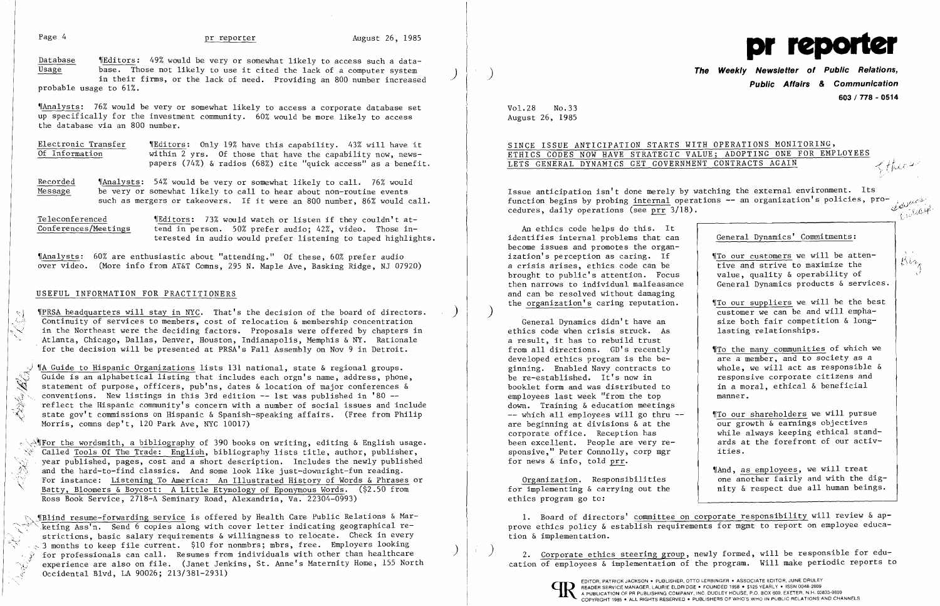Database 19 MEditors: 49% would be very or somewhat likely to access such a data-Database 1Editors: 49% would be very or somewhat likely to access such a data-<br>Usage base. Those not likely to use it cited the lack of a computer system ) in their firms, or the lack of need. Providing an 800 number increased probable usage to 61%.

Electronic Transfer (Editors: Only 19% have this capability. 43% will have it<br>Of Information within 2 yrs. Of those that have the capability now, newswithin 2 yrs. Of those that have the capability now, newspapers (74%) & radios (68%) cite "quick access" as a benefit.

'IAnalysts: 76% would be very or somewhat likely to access a corporate database set up specifically for the investment community. 60% would be more likely to access the database via an 800 number.

Recorded 'Menalysts: 54% would be very or somewhat likely to call. 76% would<br>Message be very or somewhat likely to call to hear about non-routine events be very or somewhat likely to call to hear about non-routine events such as mergers or takeovers. If it were an 800 number, 86% would call.

Teleconferenced (Editors: 73% would watch or listen if they couldn't at-<br>Conferences/Meetings tend in person. 50% prefer audio: 42%, video. Those intend in person. 50% prefer audio; 42%, video. Those interested in audio would prefer listening to taped highlights.

'(A Guide to Hispanic Organizations lists 131 national, state & regional groups.<br>
Guide is an alphabetical listing that includes each orgn's name, address, phonometric statement of purpose, officers, pub'ns, dates & locati Guide is an alphabetical listing that includes each orgn's name, address, phone, statement of purpose, officers, pub'ns, dates & location of major conferences &  $\mathbb{R}$  conventions. New listings in this 3rd edition  $-$  1st was published in '80  $$ reflect the Hispanic community's concern with a number of social issues and include state gov't commissions on Hispanic & Spanish-speaking affairs. (Free from Philip Morris, comns dep't, 120 Park Ave, NYC 10017)

'IAnalysts: 60% are enthusiastic about "attending." Of these, 60% prefer audio over video. (More info from AT&T Comns, 295 N. Maple Ave, Basking Ridge, NJ 07920)

### USEFUL INFORMATION FOR PRACTITIONERS

 $\sim$   $\sqrt{2}$ For the wordsmith, a bibliography of 390 books on writing, editing & English usage.  $\overline{\text{Called Tools}}$  Of The Trade: English, bibliography lists title, author, publisher, year published, pages, cost and a short description. Includes the newly published and the hard-to-find classics. And some look like just-downright-fun reading. For instance: Listening To America: An Illustrated History of Words & Phrases or Batty, Bloomers & Boycott: A Little Etymology of Eponymous Words. (\$2.50 from Ross Book Service, 2718-A Seminary Road, Alexandria, Va. 22304-0993)

\) 'fPRSA headquarters will stay in NYC. That's the decision of the board of directors. ) i. .\_-::. Continuity of services to members, cost of relocation & membership concentration  $\lesssim$  in the Northeast were the deciding factors. Proposals were offered by chapters in<br>Atlanta, Chicago, Dallas, Denver, Houston, Indianapolis, Memphis & NY. Rationale for the decision will be presented at PRSA's Fall Assembly on Nov 9 in Detroit.

 $\sim$  ¶Blind resume-forwarding service is offered by Health Care Public Relations & Marketing Ass'n. Send 6 copies along with cover letter indicating geographical restrictions, basic salary requirements & willingness to relocate. Check in every  $\sim$  3 months to keep file current. \$10 for nonmbrs; mbrs, free. Employers looking<br> $\frac{1}{3}$  for professionals can call. Resumes from individuals with other than healthcare experience are also on file. (Janet Jenkins, St. Anne's Maternity Home, 155 North Occidental Blvd, LA 90026; 213/381-2931)

**The Weekly Newsletter of Public Relations, Public Affairs & Communication 603 / 778 - 0514** 

SINCE ISSUE ANTICIPATION STARTS WITH OPERATIONS MONITORING, SINCE ISSUE ANTICIPATION STARTS WITH OPERATIONS MONITORING,<br>ETHICS CODES NOW HAVE STRATEGIC VALUE; ADOPTING ONE FOR EMPLOYEES<br>LETS GENERAL DYNAMICS GET GOVERNMENT CONTRACTS AGAIN

 4\ *!'·l<..j\_/ . .J'*   $\zeta(t)$ 

 $\left( \begin{array}{c} \frac{1}{2} \end{array} \right)$  2. Corporate ethics steering group, newly formed, will be responsible for education of employees & implementation of the program. Will make periodic reports to



'~', '"i...<,)

 $\mathsf{M}\mathsf{A}$ , as employees, we will treat one another fairly and with the dignity & respect due all human beings.

 $\overline{\mathcal{B}}$ ;



Vo1.28 No.33 August 26, 1985

 $\left( \right)$ 

# ETHICS CODES NOW HAVE STRATEGIC VALUE; ADOPTING ONE FOR EMPLOYEES

An ethics code helps do this. It identifies internal problems that can become issues and promotes the organization's perception as caring. If a crisis arises, ethics code can be brought to public's attention. Focus then narrows to individual malfeasance and can be resolved without damaging the organization's caring reputation.

General Dynamics didn't have an ethics code when crisis struck. As a result, it has to rebuild trust from all directions. GD's recently developed ethics program is the beginning. Enabled Navy contracts to be re-established. It's now in booklet form and was distributed to employees last week "from the top down. Training & education meetings -- which all employees will go thru -are beginning at divisions & at the corporate office. Reception has been excellent. People are very responsive," Peter Connolly, corp mgr for news & info, told prr.

Issue anticipation isn't done merely by watching the external environment. Its function begins by probing <u>internal</u> operations -- an organization's policies, pro-<br>cedures, daily operations (see prr 3/18) cedures, daily operations (see prr 3/18).  $\mathscr{L} = \mathscr{L} \mathscr{L}$ ------------------"

Organization. Responsibilities for implementing & carrying out the ethics program go to:

1. Board of directors' committee on corporate responsibility will review & approve ethics policy & establish requirements for mgmt to report on employee education & implementation.

General Dynamics' Commitments:

- 'ITo our customers we will be attentive and strive to maximize the value, quality & operability of General Dynamics products & services.
- 'ITo our suppliers we will be the best customer we can be and will emphasize both fair competition & longlasting relationships.
- '[To the many communities of which we are a member, and to society as a whole, we will act as responsible & responsive corporate citizens and in a moral, ethical & beneficial manner.
- '[To our shareholders we will pursue our growth & earnings objectives while always keeping ethical standards at the forefront of our activities.